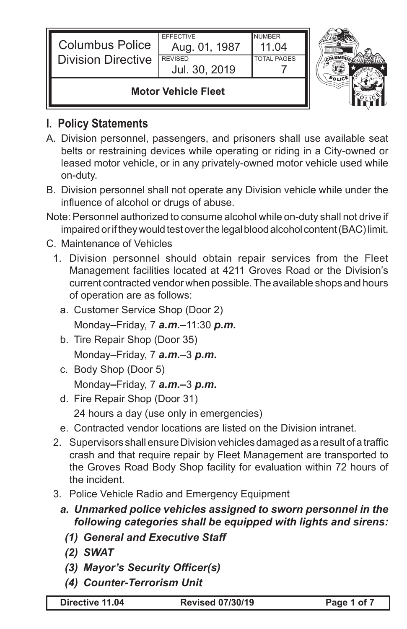| <b>Columbus Police</b><br><b>Division Directive</b> | <b>FFFFCTIVE</b><br>Aug. 01, 1987<br><b>REVISED</b><br>Jul. 30, 2019 | <b>NUMBER</b><br>11 04<br><b>TOTAL PAGES</b> |  |
|-----------------------------------------------------|----------------------------------------------------------------------|----------------------------------------------|--|
| <b>Motor Vehicle Fleet</b>                          |                                                                      |                                              |  |

## **I. Policy Statements**

IL

- A. Division personnel, passengers, and prisoners shall use available seat belts or restraining devices while operating or riding in a City-owned or leased motor vehicle, or in any privately-owned motor vehicle used while on-duty.
- B. Division personnel shall not operate any Division vehicle while under the influence of alcohol or drugs of abuse.
- Note: Personnel authorized to consume alcohol while on-duty shall not drive if impaired or if they would test over the legal blood alcohol content (BAC) limit.

## C. Maintenance of Vehicles

- 1. Division personnel should obtain repair services from the Fleet Management facilities located at 4211 Groves Road or the Division's current contracted vendor when possible. The available shops and hours of operation are as follows:
	- a. Customer Service Shop (Door 2) Monday*–*Friday, 7 *a.m.–*11:30 *p.m.*
	- b. Tire Repair Shop (Door 35) Monday*–*Friday, 7 *a.m.–*3 *p.m.*
	- c. Body Shop (Door 5) Monday*–*Friday, 7 *a.m.–*3 *p.m.*
	- d. Fire Repair Shop (Door 31) 24 hours a day (use only in emergencies)
	- e. Contracted vendor locations are listed on the Division intranet.
- 2. Supervisors shall ensure Division vehicles damaged as a result of a traffic crash and that require repair by Fleet Management are transported to the Groves Road Body Shop facility for evaluation within 72 hours of the incident.
- 3. Police Vehicle Radio and Emergency Equipment
	- *a. Unmarked police vehicles assigned to sworn personnel in the following categories shall be equipped with lights and sirens:*
		- *(1) General and Executive Staff*
		- *(2) SWAT*
		- *(3) Mayor's Security Officer(s)*
		- *(4) Counter-Terrorism Unit*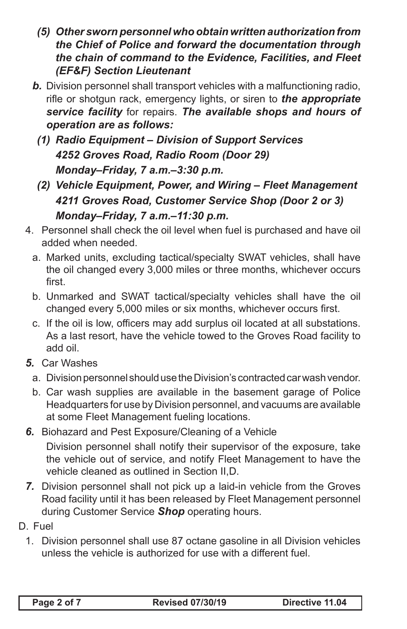- *(5) Other sworn personnel who obtain written authorization from the Chief of Police and forward the documentation through the chain of command to the Evidence, Facilities, and Fleet (EF&F) Section Lieutenant*
- *b.* Division personnel shall transport vehicles with a malfunctioning radio, rifle or shotgun rack, emergency lights, or siren to *the appropriate service facility* for repairs. *The available shops and hours of operation are as follows:*
	- *(1) Radio Equipment Division of Support Services 4252 Groves Road, Radio Room (Door 29) Monday–Friday, 7 a.m.–3:30 p.m.*
	- *(2) Vehicle Equipment, Power, and Wiring Fleet Management 4211 Groves Road, Customer Service Shop (Door 2 or 3) Monday–Friday, 7 a.m.–11:30 p.m.*
- 4. Personnel shall check the oil level when fuel is purchased and have oil added when needed.
	- a. Marked units, excluding tactical/specialty SWAT vehicles, shall have the oil changed every 3,000 miles or three months, whichever occurs first.
	- b. Unmarked and SWAT tactical/specialty vehicles shall have the oil changed every 5,000 miles or six months, whichever occurs first.
	- c. If the oil is low, officers may add surplus oil located at all substations. As a last resort, have the vehicle towed to the Groves Road facility to add oil.
- *5.* Car Washes
	- a. Division personnel should use the Division's contracted car wash vendor.
	- b. Car wash supplies are available in the basement garage of Police Headquarters for use by Division personnel, and vacuums are available at some Fleet Management fueling locations.
- *6.* Biohazard and Pest Exposure/Cleaning of a Vehicle Division personnel shall notify their supervisor of the exposure, take the vehicle out of service, and notify Fleet Management to have the vehicle cleaned as outlined in Section II,D.
- *7.* Division personnel shall not pick up a laid-in vehicle from the Groves Road facility until it has been released by Fleet Management personnel during Customer Service *Shop* operating hours.
- D. Fuel
	- 1. Division personnel shall use 87 octane gasoline in all Division vehicles unless the vehicle is authorized for use with a different fuel.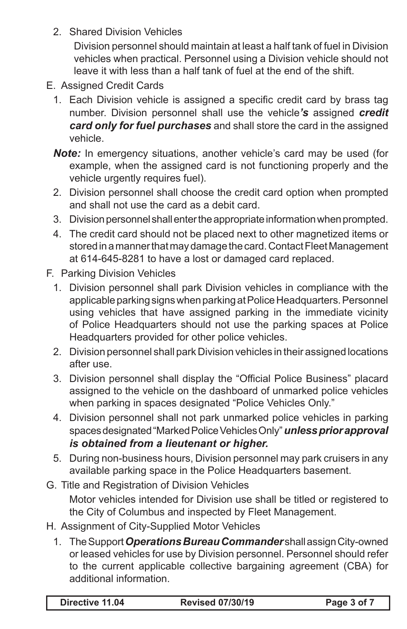2. Shared Division Vehicles

Division personnel should maintain at least a half tank of fuel in Division vehicles when practical. Personnel using a Division vehicle should not leave it with less than a half tank of fuel at the end of the shift.

- E. Assigned Credit Cards
	- 1. Each Division vehicle is assigned a specific credit card by brass tag number. Division personnel shall use the vehicle*'s* assigned *credit card only for fuel purchases* and shall store the card in the assigned vehicle.
	- **Note:** In emergency situations, another vehicle's card may be used (for example, when the assigned card is not functioning properly and the vehicle urgently requires fuel).
	- 2. Division personnel shall choose the credit card option when prompted and shall not use the card as a debit card.
	- 3. Division personnel shall enter the appropriate information when prompted.
	- 4. The credit card should not be placed next to other magnetized items or stored in a manner that may damage the card. Contact Fleet Management at 614-645-8281 to have a lost or damaged card replaced.
- F. Parking Division Vehicles
	- 1. Division personnel shall park Division vehicles in compliance with the applicable parking signs when parking at Police Headquarters. Personnel using vehicles that have assigned parking in the immediate vicinity of Police Headquarters should not use the parking spaces at Police Headquarters provided for other police vehicles.
	- 2. Division personnel shall park Division vehicles in their assigned locations after use.
	- 3. Division personnel shall display the "Official Police Business" placard assigned to the vehicle on the dashboard of unmarked police vehicles when parking in spaces designated "Police Vehicles Only."
	- 4. Division personnel shall not park unmarked police vehicles in parking spaces designated "Marked Police Vehicles Only" *unless prior approval is obtained from a lieutenant or higher.*
	- 5. During non-business hours, Division personnel may park cruisers in any available parking space in the Police Headquarters basement.

G. Title and Registration of Division Vehicles Motor vehicles intended for Division use shall be titled or registered to the City of Columbus and inspected by Fleet Management.

- H. Assignment of City-Supplied Motor Vehicles
	- 1. The Support *Operations Bureau Commander* shall assign City-owned or leased vehicles for use by Division personnel. Personnel should refer to the current applicable collective bargaining agreement (CBA) for additional information.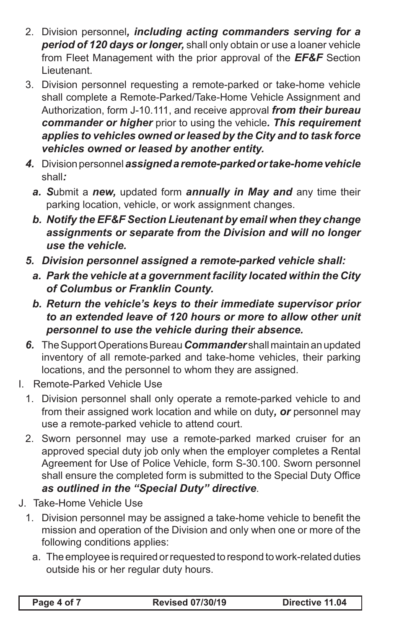- 2. Division personnel*, including acting commanders serving for a period of 120 days or longer,* shall only obtain or use a loaner vehicle from Fleet Management with the prior approval of the *EF&F* Section Lieutenant.
- 3. Division personnel requesting a remote-parked or take-home vehicle shall complete a Remote-Parked/Take-Home Vehicle Assignment and Authorization, form J-10.111, and receive approval *from their bureau commander or higher* prior to using the vehicle*. This requirement applies to vehicles owned or leased by the City and to task force vehicles owned or leased by another entity.*
- *4.* Division personnel *assigned a remote-parked or take-home vehicle*  shall*:*
	- *a. S*ubmit a *new,* updated form *annually in May and* any time their parking location, vehicle, or work assignment changes.
	- *b. Notify the EF&F Section Lieutenant by email when they change assignments or separate from the Division and will no longer use the vehicle.*
- *5. Division personnel assigned a remote-parked vehicle shall:*
	- *a. Park the vehicle at a government facility located within the City of Columbus or Franklin County.*
	- *b. Return the vehicle's keys to their immediate supervisor prior to an extended leave of 120 hours or more to allow other unit personnel to use the vehicle during their absence.*
- *6.* The Support Operations Bureau *Commander* shall maintain an updated inventory of all remote-parked and take-home vehicles, their parking locations, and the personnel to whom they are assigned.
- I. Remote-Parked Vehicle Use
	- 1. Division personnel shall only operate a remote-parked vehicle to and from their assigned work location and while on duty*, or* personnel may use a remote-parked vehicle to attend court.
	- 2. Sworn personnel may use a remote-parked marked cruiser for an approved special duty job only when the employer completes a Rental Agreement for Use of Police Vehicle, form S-30.100. Sworn personnel shall ensure the completed form is submitted to the Special Duty Office *as outlined in the "Special Duty" directive*.
- J. Take-Home Vehicle Use
	- 1. Division personnel may be assigned a take-home vehicle to benefit the mission and operation of the Division and only when one or more of the following conditions applies:
		- a. The employee is required or requested to respond to work-related duties outside his or her regular duty hours.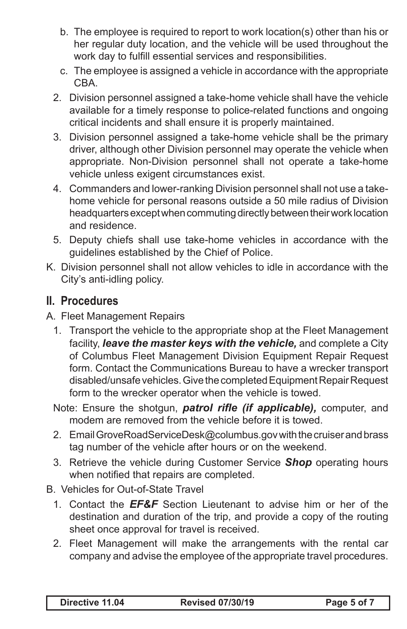- b. The employee is required to report to work location(s) other than his or her regular duty location, and the vehicle will be used throughout the work day to fulfill essential services and responsibilities.
- c. The employee is assigned a vehicle in accordance with the appropriate CBA.
- 2. Division personnel assigned a take-home vehicle shall have the vehicle available for a timely response to police-related functions and ongoing critical incidents and shall ensure it is properly maintained.
- 3. Division personnel assigned a take-home vehicle shall be the primary driver, although other Division personnel may operate the vehicle when appropriate. Non-Division personnel shall not operate a take-home vehicle unless exigent circumstances exist.
- 4. Commanders and lower-ranking Division personnel shall not use a takehome vehicle for personal reasons outside a 50 mile radius of Division headquarters except when commuting directly between their work location and residence.
- 5. Deputy chiefs shall use take-home vehicles in accordance with the guidelines established by the Chief of Police.
- K. Division personnel shall not allow vehicles to idle in accordance with the City's anti-idling policy.

## **II. Procedures**

- A. Fleet Management Repairs
	- 1. Transport the vehicle to the appropriate shop at the Fleet Management facility, *leave the master keys with the vehicle,* and complete a City of Columbus Fleet Management Division Equipment Repair Request form. Contact the Communications Bureau to have a wrecker transport disabled/unsafe vehicles. Give the completed Equipment Repair Request form to the wrecker operator when the vehicle is towed.
	- Note: Ensure the shotgun, *patrol rifle (if applicable),* computer, and modem are removed from the vehicle before it is towed.
	- 2. Email GroveRoadServiceDesk@columbus.gov with the cruiser and brass tag number of the vehicle after hours or on the weekend.
	- 3. Retrieve the vehicle during Customer Service *Shop* operating hours when notified that repairs are completed.
- B. Vehicles for Out-of-State Travel
	- 1. Contact the *EF&F* Section Lieutenant to advise him or her of the destination and duration of the trip, and provide a copy of the routing sheet once approval for travel is received.
	- 2. Fleet Management will make the arrangements with the rental car company and advise the employee of the appropriate travel procedures.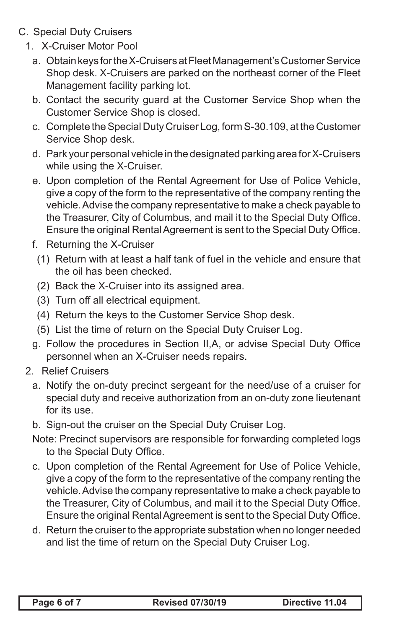- C. Special Duty Cruisers
	- 1. X-Cruiser Motor Pool
		- a. Obtain keys for the X-Cruisers at Fleet Management's Customer Service Shop desk. X-Cruisers are parked on the northeast corner of the Fleet Management facility parking lot.
		- b. Contact the security guard at the Customer Service Shop when the Customer Service Shop is closed.
		- c. Complete the Special Duty Cruiser Log, form S-30.109, at the Customer Service Shop desk.
		- d. Park your personal vehicle in the designated parking area for X-Cruisers while using the X-Cruiser.
		- e. Upon completion of the Rental Agreement for Use of Police Vehicle, give a copy of the form to the representative of the company renting the vehicle. Advise the company representative to make a check payable to the Treasurer, City of Columbus, and mail it to the Special Duty Office. Ensure the original Rental Agreement is sent to the Special Duty Office.
		- f. Returning the X-Cruiser
			- (1) Return with at least a half tank of fuel in the vehicle and ensure that the oil has been checked.
			- (2) Back the X-Cruiser into its assigned area.
			- (3) Turn off all electrical equipment.
			- (4) Return the keys to the Customer Service Shop desk.
			- (5) List the time of return on the Special Duty Cruiser Log.
		- g. Follow the procedures in Section II,A, or advise Special Duty Office personnel when an X-Cruiser needs repairs.
	- 2. Relief Cruisers
		- a. Notify the on-duty precinct sergeant for the need/use of a cruiser for special duty and receive authorization from an on-duty zone lieutenant for its use.
		- b. Sign-out the cruiser on the Special Duty Cruiser Log.
		- Note: Precinct supervisors are responsible for forwarding completed logs to the Special Duty Office.
		- c. Upon completion of the Rental Agreement for Use of Police Vehicle, give a copy of the form to the representative of the company renting the vehicle. Advise the company representative to make a check payable to the Treasurer, City of Columbus, and mail it to the Special Duty Office. Ensure the original Rental Agreement is sent to the Special Duty Office.
		- d. Return the cruiser to the appropriate substation when no longer needed and list the time of return on the Special Duty Cruiser Log.